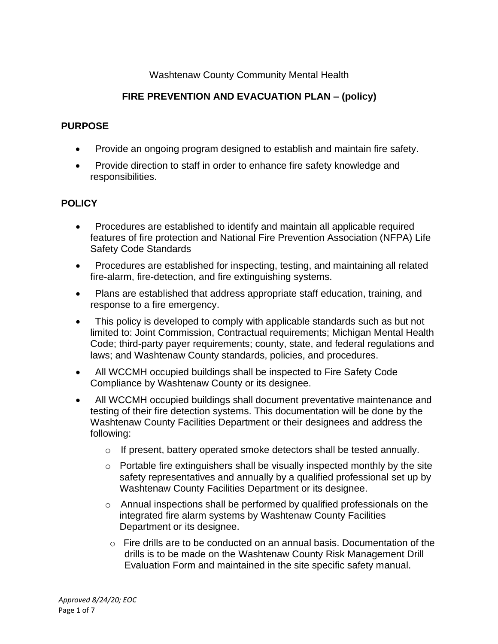# Washtenaw County Community Mental Health

# **FIRE PREVENTION AND EVACUATION PLAN – (policy)**

# **PURPOSE**

- Provide an ongoing program designed to establish and maintain fire safety.
- Provide direction to staff in order to enhance fire safety knowledge and responsibilities.

# **POLICY**

- Procedures are established to identify and maintain all applicable required features of fire protection and National Fire Prevention Association (NFPA) Life Safety Code Standards
- Procedures are established for inspecting, testing, and maintaining all related fire-alarm, fire-detection, and fire extinguishing systems.
- Plans are established that address appropriate staff education, training, and response to a fire emergency.
- This policy is developed to comply with applicable standards such as but not limited to: Joint Commission, Contractual requirements; Michigan Mental Health Code; third-party payer requirements; county, state, and federal regulations and laws; and Washtenaw County standards, policies, and procedures.
- All WCCMH occupied buildings shall be inspected to Fire Safety Code Compliance by Washtenaw County or its designee.
- All WCCMH occupied buildings shall document preventative maintenance and testing of their fire detection systems. This documentation will be done by the Washtenaw County Facilities Department or their designees and address the following:
	- $\circ$  If present, battery operated smoke detectors shall be tested annually.
	- o Portable fire extinguishers shall be visually inspected monthly by the site safety representatives and annually by a qualified professional set up by Washtenaw County Facilities Department or its designee.
	- o Annual inspections shall be performed by qualified professionals on the integrated fire alarm systems by Washtenaw County Facilities Department or its designee.
	- $\circ$  Fire drills are to be conducted on an annual basis. Documentation of the drills is to be made on the Washtenaw County Risk Management Drill Evaluation Form and maintained in the site specific safety manual.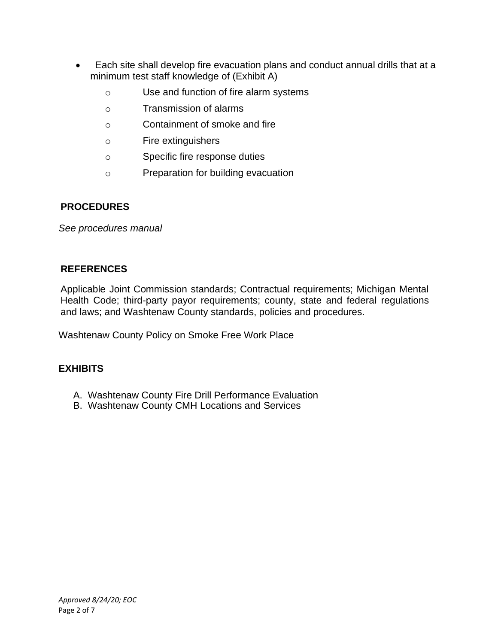- Each site shall develop fire evacuation plans and conduct annual drills that at a minimum test staff knowledge of (Exhibit A)
	- o Use and function of fire alarm systems
	- o Transmission of alarms
	- o Containment of smoke and fire
	- o Fire extinguishers
	- o Specific fire response duties
	- o Preparation for building evacuation

# **PROCEDURES**

*See procedures manual*

# **REFERENCES**

Applicable Joint Commission standards; Contractual requirements; Michigan Mental Health Code; third-party payor requirements; county, state and federal regulations and laws; and Washtenaw County standards, policies and procedures.

Washtenaw County Policy on Smoke Free Work Place

# **EXHIBITS**

- A. Washtenaw County Fire Drill Performance Evaluation
- B. Washtenaw County CMH Locations and Services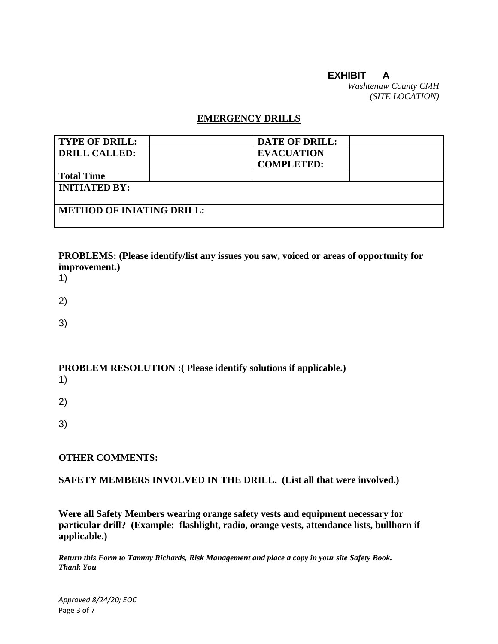# **EXHIBIT A**

*Washtenaw County CMH (SITE LOCATION)*

#### **EMERGENCY DRILLS**

| <b>TYPE OF DRILL:</b>            | <b>DATE OF DRILL:</b> |  |
|----------------------------------|-----------------------|--|
| <b>DRILL CALLED:</b>             | <b>EVACUATION</b>     |  |
|                                  | <b>COMPLETED:</b>     |  |
| <b>Total Time</b>                |                       |  |
| <b>INITIATED BY:</b>             |                       |  |
| <b>METHOD OF INIATING DRILL:</b> |                       |  |

**PROBLEMS: (Please identify/list any issues you saw, voiced or areas of opportunity for improvement.)**

- 1)
- 2)
- 3)

# **PROBLEM RESOLUTION :( Please identify solutions if applicable.)**

- 1)
- 2)
- 3)

### **OTHER COMMENTS:**

#### **SAFETY MEMBERS INVOLVED IN THE DRILL. (List all that were involved.)**

**Were all Safety Members wearing orange safety vests and equipment necessary for particular drill? (Example: flashlight, radio, orange vests, attendance lists, bullhorn if applicable.)**

*Return this Form to Tammy Richards, Risk Management and place a copy in your site Safety Book. Thank You*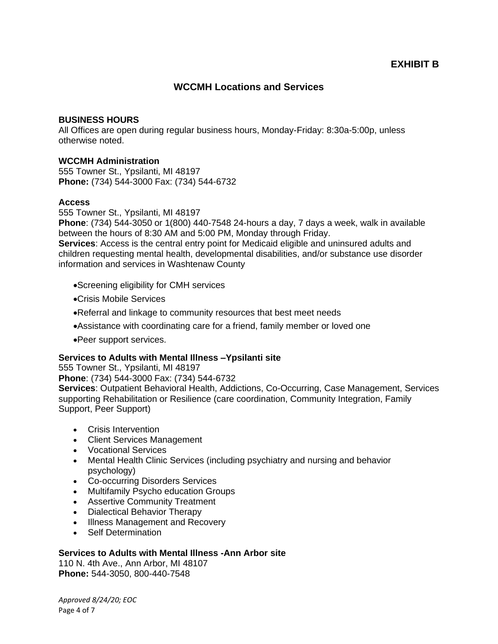### **WCCMH Locations and Services**

#### **BUSINESS HOURS**

All Offices are open during regular business hours, Monday-Friday: 8:30a-5:00p, unless otherwise noted.

#### **WCCMH Administration**

555 Towner St., Ypsilanti, MI 48197 **Phone:** (734) 544-3000 Fax: (734) 544-6732

#### **Access**

555 Towner St., Ypsilanti, MI 48197

**Phone**: (734) 544-3050 or 1(800) 440-7548 24-hours a day, 7 days a week, walk in available between the hours of 8:30 AM and 5:00 PM, Monday through Friday.

**Services**: Access is the central entry point for Medicaid eligible and uninsured adults and children requesting mental health, developmental disabilities, and/or substance use disorder information and services in Washtenaw County

- •Screening eligibility for CMH services
- •Crisis Mobile Services
- •Referral and linkage to community resources that best meet needs
- •Assistance with coordinating care for a friend, family member or loved one
- •Peer support services.

#### **Services to Adults with Mental Illness –Ypsilanti site**

555 Towner St., Ypsilanti, MI 48197

**Phone**: (734) 544-3000 Fax: (734) 544-6732

**Services**: Outpatient Behavioral Health, Addictions, Co-Occurring, Case Management, Services supporting Rehabilitation or Resilience (care coordination, Community Integration, Family Support, Peer Support)

- Crisis Intervention
- Client Services Management
- Vocational Services
- Mental Health Clinic Services (including psychiatry and nursing and behavior psychology)
- Co-occurring Disorders Services
- Multifamily Psycho education Groups
- Assertive Community Treatment
- Dialectical Behavior Therapy
- Illness Management and Recovery
- Self Determination

#### **Services to Adults with Mental Illness -Ann Arbor site**

110 N. 4th Ave., Ann Arbor, MI 48107 **Phone:** 544-3050, 800-440-7548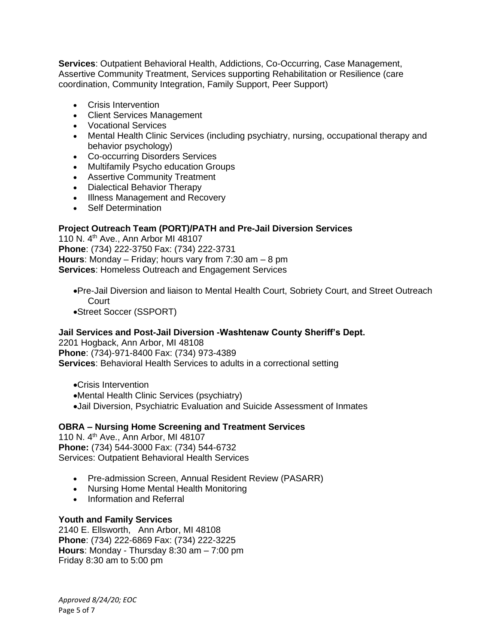**Services**: Outpatient Behavioral Health, Addictions, Co-Occurring, Case Management, Assertive Community Treatment, Services supporting Rehabilitation or Resilience (care coordination, Community Integration, Family Support, Peer Support)

- Crisis Intervention
- Client Services Management
- Vocational Services
- Mental Health Clinic Services (including psychiatry, nursing, occupational therapy and behavior psychology)
- Co-occurring Disorders Services
- Multifamily Psycho education Groups
- Assertive Community Treatment
- Dialectical Behavior Therapy
- Illness Management and Recovery
- Self Determination

### **Project Outreach Team (PORT)/PATH and Pre-Jail Diversion Services**

110 N. 4th Ave., Ann Arbor MI 48107 **Phone**: (734) 222-3750 Fax: (734) 222-3731 **Hours**: Monday – Friday; hours vary from 7:30 am – 8 pm **Services**: Homeless Outreach and Engagement Services

- •Pre-Jail Diversion and liaison to Mental Health Court, Sobriety Court, and Street Outreach Court
- •Street Soccer (SSPORT)

#### **Jail Services and Post-Jail Diversion -Washtenaw County Sheriff's Dept.**

2201 Hogback, Ann Arbor, MI 48108 **Phone**: (734)-971-8400 Fax: (734) 973-4389 **Services:** Behavioral Health Services to adults in a correctional setting

- •Crisis Intervention
- •Mental Health Clinic Services (psychiatry)
- •Jail Diversion, Psychiatric Evaluation and Suicide Assessment of Inmates

#### **OBRA – Nursing Home Screening and Treatment Services**

110 N. 4th Ave., Ann Arbor, MI 48107 **Phone:** (734) 544-3000 Fax: (734) 544-6732 Services: Outpatient Behavioral Health Services

- Pre-admission Screen, Annual Resident Review (PASARR)
- Nursing Home Mental Health Monitoring
- Information and Referral

#### **Youth and Family Services**

2140 E. Ellsworth, Ann Arbor, MI 48108 **Phone**: (734) 222-6869 Fax: (734) 222-3225 **Hours**: Monday - Thursday 8:30 am – 7:00 pm Friday 8:30 am to 5:00 pm

*Approved 8/24/20; EOC* Page 5 of 7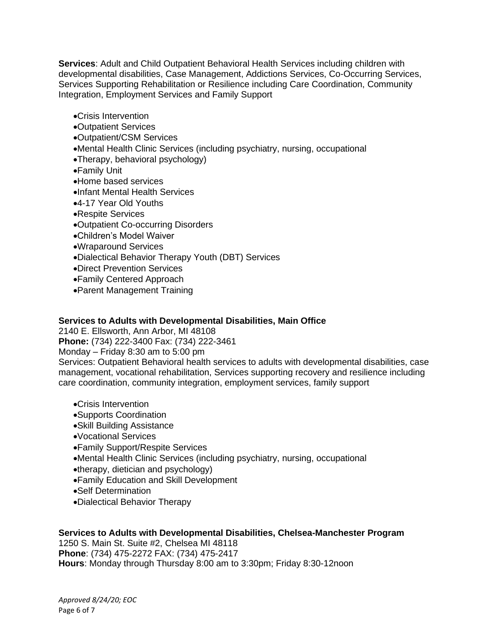**Services**: Adult and Child Outpatient Behavioral Health Services including children with developmental disabilities, Case Management, Addictions Services, Co-Occurring Services, Services Supporting Rehabilitation or Resilience including Care Coordination, Community Integration, Employment Services and Family Support

- •Crisis Intervention
- •Outpatient Services
- •Outpatient/CSM Services
- •Mental Health Clinic Services (including psychiatry, nursing, occupational
- •Therapy, behavioral psychology)
- •Family Unit
- •Home based services
- •Infant Mental Health Services
- •4-17 Year Old Youths
- •Respite Services
- •Outpatient Co-occurring Disorders
- •Children's Model Waiver
- •Wraparound Services
- •Dialectical Behavior Therapy Youth (DBT) Services
- •Direct Prevention Services
- •Family Centered Approach
- •Parent Management Training

#### **Services to Adults with Developmental Disabilities, Main Office**

2140 E. Ellsworth, Ann Arbor, MI 48108

**Phone:** (734) 222-3400 Fax: (734) 222-3461

Monday – Friday 8:30 am to 5:00 pm

Services: Outpatient Behavioral health services to adults with developmental disabilities, case management, vocational rehabilitation, Services supporting recovery and resilience including care coordination, community integration, employment services, family support

- •Crisis Intervention
- •Supports Coordination
- •Skill Building Assistance
- •Vocational Services
- •Family Support/Respite Services
- •Mental Health Clinic Services (including psychiatry, nursing, occupational
- •therapy, dietician and psychology)
- •Family Education and Skill Development
- •Self Determination
- •Dialectical Behavior Therapy

# **Services to Adults with Developmental Disabilities, Chelsea-Manchester Program**

1250 S. Main St. Suite #2, Chelsea MI 48118 **Phone**: (734) 475-2272 FAX: (734) 475-2417 **Hours**: Monday through Thursday 8:00 am to 3:30pm; Friday 8:30-12noon